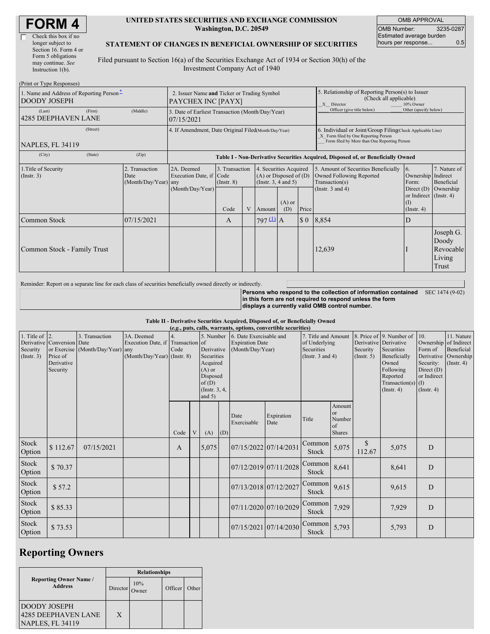| <b>FORM4</b> |
|--------------|
|--------------|

#### **UNITED STATES SECURITIES AND EXCHANGE COMMISSION Washington, D.C. 20549**

OMB APPROVAL OMB Number: 3235-0287 Estimated average burden hours per response... 0.5

#### **STATEMENT OF CHANGES IN BENEFICIAL OWNERSHIP OF SECURITIES**

Filed pursuant to Section 16(a) of the Securities Exchange Act of 1934 or Section 30(h) of the Investment Company Act of 1940

| (Print or Type Responses)                                       |                                                      |                                        |                                                                                  |                                                |  |                        |                                                                                                                                                    |                             |                                                                                                                    |                                                                                                      |                                                    |
|-----------------------------------------------------------------|------------------------------------------------------|----------------------------------------|----------------------------------------------------------------------------------|------------------------------------------------|--|------------------------|----------------------------------------------------------------------------------------------------------------------------------------------------|-----------------------------|--------------------------------------------------------------------------------------------------------------------|------------------------------------------------------------------------------------------------------|----------------------------------------------------|
| 1. Name and Address of Reporting Person-<br><b>DOODY JOSEPH</b> |                                                      |                                        | 2. Issuer Name and Ticker or Trading Symbol<br>PAYCHEX INC [PAYX]                |                                                |  |                        |                                                                                                                                                    |                             | 5. Relationship of Reporting Person(s) to Issuer<br>(Check all applicable)<br>X Director<br>10% Owner              |                                                                                                      |                                                    |
| (Last)<br><b>4285 DEEPHAVEN LANE</b>                            | (First)                                              | (Middle)                               | 3. Date of Earliest Transaction (Month/Day/Year)<br>07/15/2021                   |                                                |  |                        |                                                                                                                                                    |                             | Officer (give title below)                                                                                         | Other (specify below)                                                                                |                                                    |
| <b>NAPLES, FL 34119</b>                                         | 4. If Amendment, Date Original Filed(Month/Day/Year) |                                        |                                                                                  |                                                |  |                        | 6. Individual or Joint/Group Filing(Check Applicable Line)<br>X Form filed by One Reporting Person<br>Form filed by More than One Reporting Person |                             |                                                                                                                    |                                                                                                      |                                                    |
| (City)                                                          | (State)                                              | (Zip)                                  | Table I - Non-Derivative Securities Acquired, Disposed of, or Beneficially Owned |                                                |  |                        |                                                                                                                                                    |                             |                                                                                                                    |                                                                                                      |                                                    |
| 1. Title of Security<br>(Insert. 3)<br>Date                     |                                                      | 2. Transaction<br>(Month/Day/Year) any | 2A. Deemed<br>Execution Date, if Code<br>(Month/Day/Year)                        | 3. Transaction<br>$($ Instr. $8)$<br>V<br>Code |  | Amount                 | 4. Securities Acquired<br>$(A)$ or Disposed of $(D)$<br>(Insert. 3, 4 and 5)<br>$(A)$ or<br>Price<br>(D)                                           |                             | 5. Amount of Securities Beneficially<br><b>Owned Following Reported</b><br>Transaction(s)<br>(Instr. $3$ and $4$ ) | 6.<br>Ownership Indirect<br>Form:<br>Direct (D)<br>or Indirect (Instr. 4)<br>(1)<br>$($ Instr. 4 $)$ | 7. Nature of<br>Beneficial<br>Ownership            |
| Common Stock                                                    |                                                      | 07/15/2021                             |                                                                                  | A                                              |  | $797 \underline{11}$ A |                                                                                                                                                    | $\boldsymbol{\mathsf{S}}$ 0 | 8,854                                                                                                              | D                                                                                                    |                                                    |
| Common Stock - Family Trust                                     |                                                      |                                        |                                                                                  |                                                |  |                        |                                                                                                                                                    |                             | 12,639                                                                                                             |                                                                                                      | Joseph G.<br>Doody<br>Revocable<br>Living<br>Trust |

Reminder: Report on a separate line for each class of securities beneficially owned directly or indirectly.

**Persons who respond to the collection of information contained in this form are not required to respond unless the form displays a currently valid OMB control number.** SEC 1474 (9-02)

**Table II - Derivative Securities Acquired, Disposed of, or Beneficially Owned**

| (e.g., puts, calls, warrants, options, convertible securities) |                            |                                  |                                   |              |   |                        |     |                         |                       |                        |               |                       |                          |                       |                                          |
|----------------------------------------------------------------|----------------------------|----------------------------------|-----------------------------------|--------------|---|------------------------|-----|-------------------------|-----------------------|------------------------|---------------|-----------------------|--------------------------|-----------------------|------------------------------------------|
| 1. Title of $\vert$ 2.                                         |                            | 3. Transaction                   | 3A. Deemed                        | 4.           |   | 5. Number              |     | 6. Date Exercisable and |                       | 7. Title and Amount    |               |                       | 8. Price of 9. Number of | 10.                   | 11. Nature                               |
|                                                                | Derivative Conversion Date |                                  | Execution Date, if Transaction of |              |   |                        |     | <b>Expiration Date</b>  |                       | of Underlying          |               | Derivative Derivative |                          | Ownership of Indirect |                                          |
| Security                                                       |                            | or Exercise (Month/Day/Year) any |                                   | Code         |   | Derivative             |     | (Month/Day/Year)        |                       | Securities             |               | Security              | Securities               | Form of               | Beneficial                               |
| (Insert. 3)                                                    | Price of<br>Derivative     |                                  | $(Month/Day/Year)$ (Instr. 8)     |              |   | Securities<br>Acquired |     |                         |                       | (Instr. $3$ and $4$ )  |               | (Insert, 5)           | Beneficially<br>Owned    | Security:             | Derivative Ownership<br>$($ Instr. 4 $)$ |
|                                                                | Security                   |                                  |                                   |              |   | $(A)$ or               |     |                         |                       |                        |               |                       | Following                | Direct (D)            |                                          |
|                                                                |                            |                                  |                                   |              |   | Disposed               |     |                         |                       |                        |               |                       | Reported                 | or Indirect           |                                          |
|                                                                |                            |                                  |                                   |              |   | of(D)                  |     |                         |                       |                        |               |                       | Transaction(s) $(I)$     |                       |                                          |
|                                                                |                            |                                  |                                   |              |   | (Instr. $3, 4,$        |     |                         |                       |                        |               |                       | $($ Instr. 4 $)$         | (Insert, 4)           |                                          |
|                                                                |                            |                                  |                                   |              |   | and $5)$               |     |                         |                       |                        |               |                       |                          |                       |                                          |
|                                                                |                            |                                  |                                   |              |   |                        |     |                         |                       |                        | Amount        |                       |                          |                       |                                          |
|                                                                |                            |                                  |                                   |              |   |                        |     | Date                    | Expiration            | Title                  | or<br>Number  |                       |                          |                       |                                          |
|                                                                |                            |                                  |                                   |              |   |                        |     | Exercisable             | Date                  |                        | of            |                       |                          |                       |                                          |
|                                                                |                            |                                  |                                   | Code         | V | (A)                    | (D) |                         |                       |                        | <b>Shares</b> |                       |                          |                       |                                          |
| Stock                                                          |                            |                                  |                                   |              |   |                        |     |                         |                       | Common                 |               | \$                    |                          |                       |                                          |
| Option                                                         | \$112.67                   | 07/15/2021                       |                                   | $\mathbf{A}$ |   | 5,075                  |     | 07/15/2022 07/14/2031   |                       | <b>Stock</b>           | 5,075         | 112.67                | 5,075                    | D                     |                                          |
| Stock                                                          |                            |                                  |                                   |              |   |                        |     |                         |                       | Common                 |               |                       |                          |                       |                                          |
| Option                                                         | \$70.37                    |                                  |                                   |              |   |                        |     | 07/12/2019 07/11/2028   |                       | Stock                  | 8,641         |                       | 8,641                    | D                     |                                          |
|                                                                |                            |                                  |                                   |              |   |                        |     |                         |                       |                        |               |                       |                          |                       |                                          |
| Stock                                                          | \$57.2                     |                                  |                                   |              |   |                        |     | 07/13/2018 07/12/2027   |                       | Common                 | 9,615         |                       | 9,615                    | D                     |                                          |
| Option                                                         |                            |                                  |                                   |              |   |                        |     |                         |                       | Stock                  |               |                       |                          |                       |                                          |
| Stock                                                          |                            |                                  |                                   |              |   |                        |     |                         |                       | Common                 |               |                       |                          |                       |                                          |
| Option                                                         | \$85.33                    |                                  |                                   |              |   |                        |     | 07/11/2020 07/10/2029   |                       | Stock                  | 7,929         |                       | 7,929                    | D                     |                                          |
| Stock                                                          |                            |                                  |                                   |              |   |                        |     |                         |                       |                        |               |                       |                          |                       |                                          |
| Option                                                         | \$73.53                    |                                  |                                   |              |   |                        |     |                         | 07/15/2021 07/14/2030 | Common<br><b>Stock</b> | 5,793         |                       | 5,793                    | ${\bf D}$             |                                          |
|                                                                |                            |                                  |                                   |              |   |                        |     |                         |                       |                        |               |                       |                          |                       |                                          |

### **Reporting Owners**

|                                                                | <b>Relationships</b> |              |         |       |  |  |  |
|----------------------------------------------------------------|----------------------|--------------|---------|-------|--|--|--|
| <b>Reporting Owner Name /</b><br><b>Address</b>                | Director             | 10%<br>Owner | Officer | Other |  |  |  |
| <b>DOODY JOSEPH</b><br>4285 DEEPHAVEN LANE<br>NAPLES, FL 34119 | X                    |              |         |       |  |  |  |